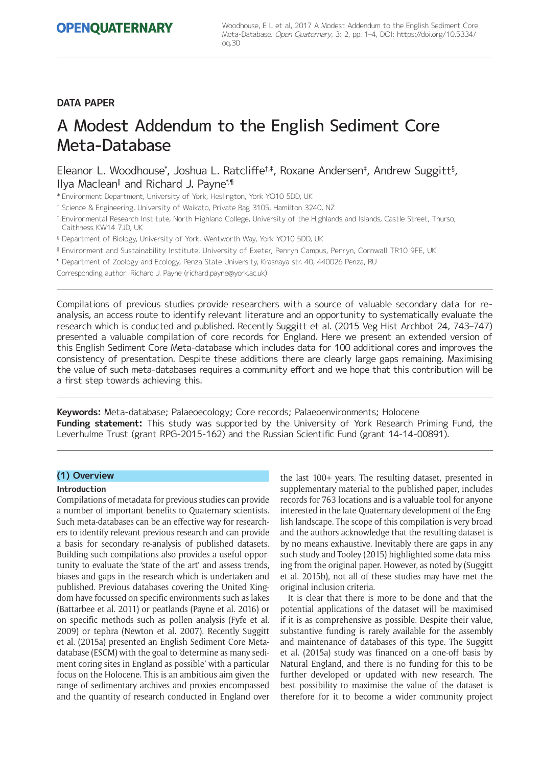# **DATA PAPER**

# A Modest Addendum to the English Sediment Core Meta-Database

Eleanor L. Woodhouse\*, Joshua L. Ratcliffe<sup>†,‡</sup>, Roxane Andersen‡, Andrew Suggitt<sup>§</sup>, Ilya Maclean<sup>||</sup> and Richard J. Payne\*<sup>,</sup>¶

\* Environment Department, University of York, Heslington, York YO10 5DD, UK

† Science & Engineering, University of Waikato, Private Bag 3105, Hamilton 3240, NZ

- ‡ Environmental Research Institute, North Highland College, University of the Highlands and Islands, Castle Street, Thurso, Caithness KW14 7JD, UK
- § Department of Biology, University of York, Wentworth Way, York YO10 5DD, UK
- <sup>ǁ</sup> Environment and Sustainability Institute, University of Exeter, Penryn Campus, Penryn, Cornwall TR10 9FE, UK

¶ Department of Zoology and Ecology, Penza State University, Krasnaya str. 40, 440026 Penza, RU

Corresponding author: Richard J. Payne [\(richard.payne@york.ac.uk\)](mailto:richard.payne@york.ac.uk)

Compilations of previous studies provide researchers with a source of valuable secondary data for reanalysis, an access route to identify relevant literature and an opportunity to systematically evaluate the research which is conducted and published. Recently Suggitt et al. (2015 Veg Hist Archbot 24, 743–747) presented a valuable compilation of core records for England. Here we present an extended version of this English Sediment Core Meta-database which includes data for 100 additional cores and improves the consistency of presentation. Despite these additions there are clearly large gaps remaining. Maximising the value of such meta-databases requires a community effort and we hope that this contribution will be a first step towards achieving this.

**Keywords:** Meta-database; Palaeoecology; Core records; Palaeoenvironments; Holocene **Funding statement:** This study was supported by the University of York Research Priming Fund, the Leverhulme Trust (grant RPG-2015-162) and the Russian Scientific Fund (grant 14-14-00891).

## **(1) Overview**

#### **Introduction**

Compilations of metadata for previous studies can provide a number of important benefits to Quaternary scientists. Such meta-databases can be an effective way for researchers to identify relevant previous research and can provide a basis for secondary re-analysis of published datasets. Building such compilations also provides a useful opportunity to evaluate the 'state of the art' and assess trends, biases and gaps in the research which is undertaken and published. Previous databases covering the United Kingdom have focussed on specific environments such as lakes (Battarbee et al. 2011) or peatlands (Payne et al. 2016) or on specific methods such as pollen analysis (Fyfe et al. 2009) or tephra (Newton et al. 2007). Recently Suggitt et al. (2015a) presented an English Sediment Core Metadatabase (ESCM) with the goal to 'determine as many sediment coring sites in England as possible' with a particular focus on the Holocene. This is an ambitious aim given the range of sedimentary archives and proxies encompassed and the quantity of research conducted in England over the last 100+ years. The resulting dataset, presented in supplementary material to the published paper, includes records for 763 locations and is a valuable tool for anyone interested in the late-Quaternary development of the English landscape. The scope of this compilation is very broad and the authors acknowledge that the resulting dataset is by no means exhaustive. Inevitably there are gaps in any such study and Tooley (2015) highlighted some data missing from the original paper. However, as noted by (Suggitt et al. 2015b), not all of these studies may have met the original inclusion criteria.

It is clear that there is more to be done and that the potential applications of the dataset will be maximised if it is as comprehensive as possible. Despite their value, substantive funding is rarely available for the assembly and maintenance of databases of this type. The Suggitt et al. (2015a) study was financed on a one-off basis by Natural England, and there is no funding for this to be further developed or updated with new research. The best possibility to maximise the value of the dataset is therefore for it to become a wider community project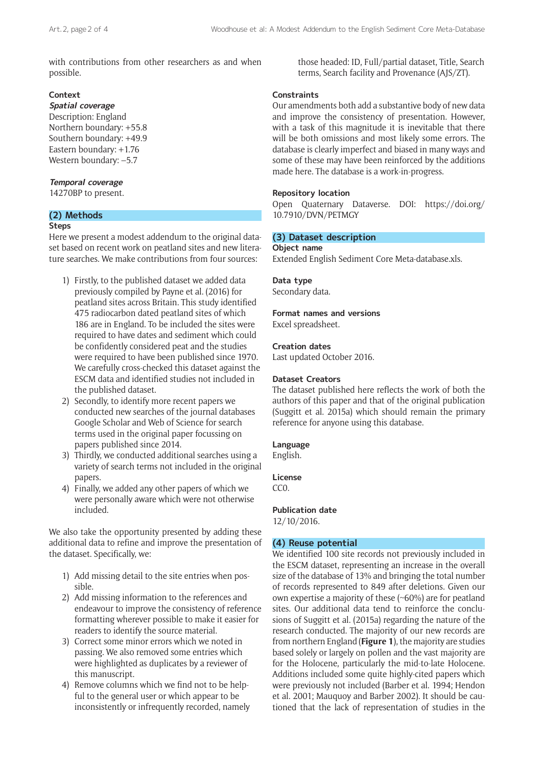with contributions from other researchers as and when possible.

# **Context**

**Spatial coverage** Description: England Northern boundary: +55.8 Southern boundary: +49.9 Eastern boundary: +1.76 Western boundary: –5.7

# **Temporal coverage**

14270BP to present.

# **(2) Methods**

## **Steps**

Here we present a modest addendum to the original dataset based on recent work on peatland sites and new literature searches. We make contributions from four sources:

- 1) Firstly, to the published dataset we added data previously compiled by Payne et al. (2016) for peatland sites across Britain. This study identified 475 radiocarbon dated peatland sites of which 186 are in England. To be included the sites were required to have dates and sediment which could be confidently considered peat and the studies were required to have been published since 1970. We carefully cross-checked this dataset against the ESCM data and identified studies not included in the published dataset.
- 2) Secondly, to identify more recent papers we conducted new searches of the journal databases Google Scholar and Web of Science for search terms used in the original paper focussing on papers published since 2014.
- 3) Thirdly, we conducted additional searches using a variety of search terms not included in the original papers.
- 4) Finally, we added any other papers of which we were personally aware which were not otherwise included.

We also take the opportunity presented by adding these additional data to refine and improve the presentation of the dataset. Specifically, we:

- 1) Add missing detail to the site entries when possible.
- 2) Add missing information to the references and endeavour to improve the consistency of reference formatting wherever possible to make it easier for readers to identify the source material.
- 3) Correct some minor errors which we noted in passing. We also removed some entries which were highlighted as duplicates by a reviewer of this manuscript.
- 4) Remove columns which we find not to be helpful to the general user or which appear to be inconsistently or infrequently recorded, namely

those headed: ID, Full/partial dataset, Title, Search terms, Search facility and Provenance (AJS/ZT).

# **Constraints**

Our amendments both add a substantive body of new data and improve the consistency of presentation. However, with a task of this magnitude it is inevitable that there will be both omissions and most likely some errors. The database is clearly imperfect and biased in many ways and some of these may have been reinforced by the additions made here. The database is a work-in-progress.

# **Repository location**

Open Quaternary Dataverse. DOI: [https://doi.org/](https://doi.org/10.7910/DVN/PETMGY) [10.7910/DVN/PETMGY](https://doi.org/10.7910/DVN/PETMGY)

# **(3) Dataset description**

#### **Object name**

Extended English Sediment Core Meta-database.xls.

# **Data type**

Secondary data.

# **Format names and versions**

Excel spreadsheet.

# **Creation dates**

Last updated October 2016.

## **Dataset Creators**

The dataset published here reflects the work of both the authors of this paper and that of the original publication (Suggitt et al. 2015a) which should remain the primary reference for anyone using this database.

# **Language**

English.

**License**  $CC<sub>0</sub>$ .

**Publication date**

12/10/2016.

# **(4) Reuse potential**

We identified 100 site records not previously included in the ESCM dataset, representing an increase in the overall size of the database of 13% and bringing the total number of records represented to 849 after deletions. Given our own expertise a majority of these (~60%) are for peatland sites. Our additional data tend to reinforce the conclusions of Suggitt et al. (2015a) regarding the nature of the research conducted. The majority of our new records are from northern England (**Figure 1**), the majority are studies based solely or largely on pollen and the vast majority are for the Holocene, particularly the mid-to-late Holocene. Additions included some quite highly-cited papers which were previously not included (Barber et al. 1994; Hendon et al. 2001; Mauquoy and Barber 2002). It should be cautioned that the lack of representation of studies in the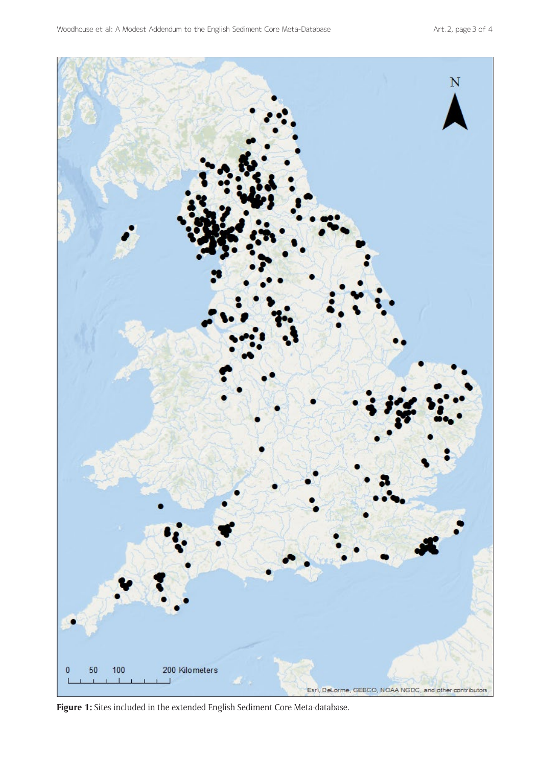

**Figure 1:** Sites included in the extended English Sediment Core Meta-database.